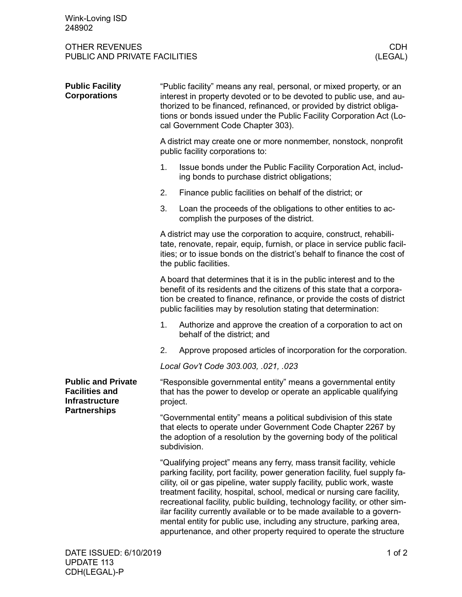| Wink-Loving ISD<br>248902                                                                          |                                                                                                                                                                                                                                                                                                                                                                                                                                                                                                                                                                                                                |                                                                                                               |
|----------------------------------------------------------------------------------------------------|----------------------------------------------------------------------------------------------------------------------------------------------------------------------------------------------------------------------------------------------------------------------------------------------------------------------------------------------------------------------------------------------------------------------------------------------------------------------------------------------------------------------------------------------------------------------------------------------------------------|---------------------------------------------------------------------------------------------------------------|
| <b>OTHER REVENUES</b><br><b>CDH</b><br>PUBLIC AND PRIVATE FACILITIES<br>(LEGAL)                    |                                                                                                                                                                                                                                                                                                                                                                                                                                                                                                                                                                                                                |                                                                                                               |
| <b>Public Facility</b><br><b>Corporations</b>                                                      | "Public facility" means any real, personal, or mixed property, or an<br>interest in property devoted or to be devoted to public use, and au-<br>thorized to be financed, refinanced, or provided by district obliga-<br>tions or bonds issued under the Public Facility Corporation Act (Lo-<br>cal Government Code Chapter 303).                                                                                                                                                                                                                                                                              |                                                                                                               |
|                                                                                                    | A district may create one or more nonmember, nonstock, nonprofit<br>public facility corporations to:                                                                                                                                                                                                                                                                                                                                                                                                                                                                                                           |                                                                                                               |
|                                                                                                    | 1.                                                                                                                                                                                                                                                                                                                                                                                                                                                                                                                                                                                                             | Issue bonds under the Public Facility Corporation Act, includ-<br>ing bonds to purchase district obligations; |
|                                                                                                    | 2.                                                                                                                                                                                                                                                                                                                                                                                                                                                                                                                                                                                                             | Finance public facilities on behalf of the district; or                                                       |
|                                                                                                    | 3.                                                                                                                                                                                                                                                                                                                                                                                                                                                                                                                                                                                                             | Loan the proceeds of the obligations to other entities to ac-<br>complish the purposes of the district.       |
|                                                                                                    | A district may use the corporation to acquire, construct, rehabili-<br>tate, renovate, repair, equip, furnish, or place in service public facil-<br>ities; or to issue bonds on the district's behalf to finance the cost of<br>the public facilities.                                                                                                                                                                                                                                                                                                                                                         |                                                                                                               |
|                                                                                                    | A board that determines that it is in the public interest and to the<br>benefit of its residents and the citizens of this state that a corpora-<br>tion be created to finance, refinance, or provide the costs of district<br>public facilities may by resolution stating that determination:                                                                                                                                                                                                                                                                                                                  |                                                                                                               |
|                                                                                                    | 1.                                                                                                                                                                                                                                                                                                                                                                                                                                                                                                                                                                                                             | Authorize and approve the creation of a corporation to act on<br>behalf of the district; and                  |
|                                                                                                    | 2.                                                                                                                                                                                                                                                                                                                                                                                                                                                                                                                                                                                                             | Approve proposed articles of incorporation for the corporation.                                               |
|                                                                                                    |                                                                                                                                                                                                                                                                                                                                                                                                                                                                                                                                                                                                                | Local Gov't Code 303.003, .021, .023                                                                          |
| <b>Public and Private</b><br><b>Facilities and</b><br><b>Infrastructure</b><br><b>Partnerships</b> | "Responsible governmental entity" means a governmental entity<br>that has the power to develop or operate an applicable qualifying<br>project.                                                                                                                                                                                                                                                                                                                                                                                                                                                                 |                                                                                                               |
|                                                                                                    | "Governmental entity" means a political subdivision of this state<br>that elects to operate under Government Code Chapter 2267 by<br>the adoption of a resolution by the governing body of the political<br>subdivision.                                                                                                                                                                                                                                                                                                                                                                                       |                                                                                                               |
|                                                                                                    | "Qualifying project" means any ferry, mass transit facility, vehicle<br>parking facility, port facility, power generation facility, fuel supply fa-<br>cility, oil or gas pipeline, water supply facility, public work, waste<br>treatment facility, hospital, school, medical or nursing care facility,<br>recreational facility, public building, technology facility, or other sim-<br>ilar facility currently available or to be made available to a govern-<br>mental entity for public use, including any structure, parking area,<br>appurtenance, and other property required to operate the structure |                                                                                                               |